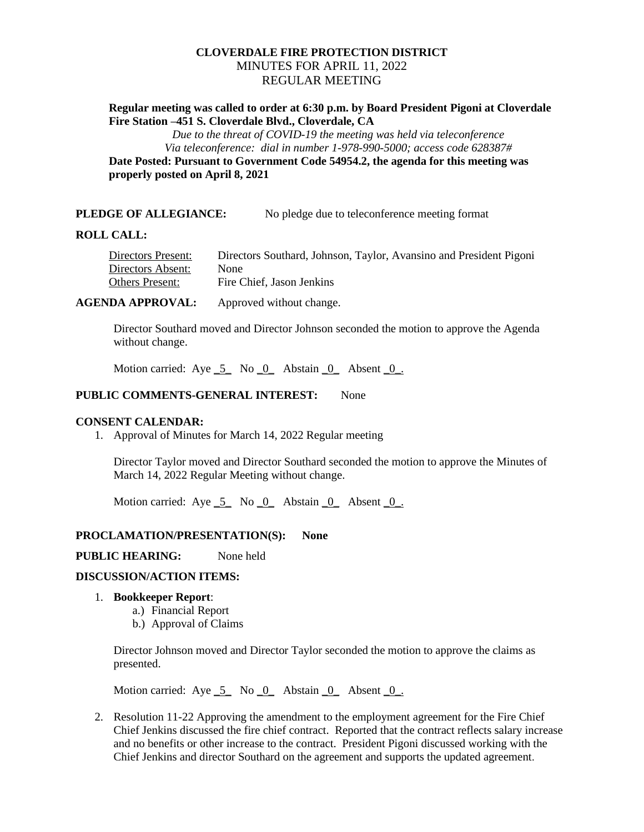# **CLOVERDALE FIRE PROTECTION DISTRICT** MINUTES FOR APRIL 11, 2022 REGULAR MEETING

## **Regular meeting was called to order at 6:30 p.m. by Board President Pigoni at Cloverdale Fire Station –451 S. Cloverdale Blvd., Cloverdale, CA**

*Due to the threat of COVID-19 the meeting was held via teleconference Via teleconference: dial in number 1-978-990-5000; access code 628387#*

**Date Posted: Pursuant to Government Code 54954.2, the agenda for this meeting was properly posted on April 8, 2021**

### **PLEDGE OF ALLEGIANCE:** No pledge due to teleconference meeting format

#### **ROLL CALL:**

Directors Present: Directors Southard, Johnson, Taylor, Avansino and President Pigoni Directors Absent: None Others Present: Fire Chief, Jason Jenkins

**AGENDA APPROVAL:** Approved without change.

Director Southard moved and Director Johnson seconded the motion to approve the Agenda without change.

Motion carried: Aye  $\overline{5}$  No  $\overline{0}$  Abstain  $\overline{0}$  Absent  $\overline{0}$ .

## **PUBLIC COMMENTS-GENERAL INTEREST:** None

#### **CONSENT CALENDAR:**

1. Approval of Minutes for March 14, 2022 Regular meeting

Director Taylor moved and Director Southard seconded the motion to approve the Minutes of March 14, 2022 Regular Meeting without change.

Motion carried: Aye  $\overline{5}$  No  $\overline{0}$  Abstain  $\overline{0}$  Absent  $\overline{0}$ .

#### **PROCLAMATION/PRESENTATION(S): None**

#### **PUBLIC HEARING:** None held

### **DISCUSSION/ACTION ITEMS:**

#### 1. **Bookkeeper Report**:

- a.) Financial Report
- b.) Approval of Claims

Director Johnson moved and Director Taylor seconded the motion to approve the claims as presented.

Motion carried: Aye  $\overline{5}$  No  $\overline{0}$  Abstain  $\overline{0}$  Absent  $\overline{0}$ .

2. Resolution 11-22 Approving the amendment to the employment agreement for the Fire Chief Chief Jenkins discussed the fire chief contract. Reported that the contract reflects salary increase and no benefits or other increase to the contract. President Pigoni discussed working with the Chief Jenkins and director Southard on the agreement and supports the updated agreement.